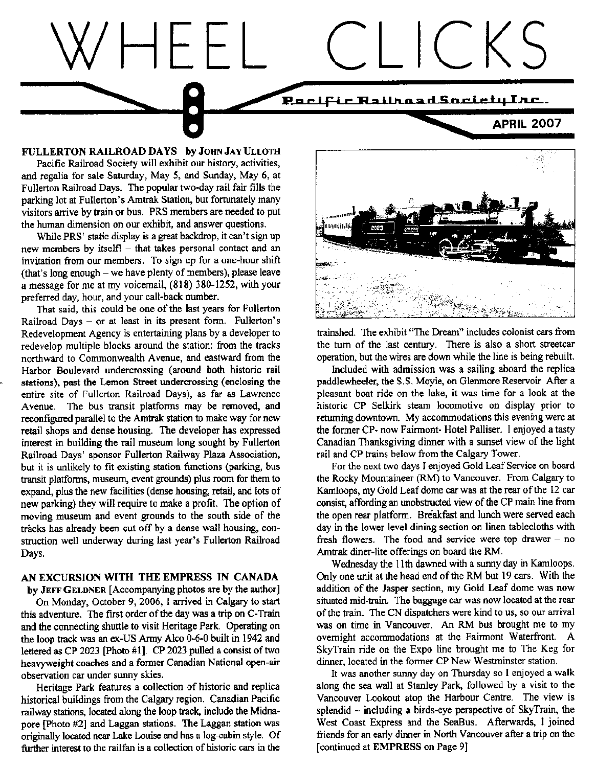

FULLERTON RAILROAD DAYS by JOHN JAY ULLOTH Pacific Raiiroad Society will exhibit our history, activities, and regalia for sale Saturday, May 5, and Sunday, May 6, at Fullerton Railroad Days. The popular two-day rail fair fills the parking lot at Fullerton's Amtrak Station, but fortunately many visitors arrive by train or bus. PRS members are needed to put the human dimension on our exhibit, and answer questions.

While PRS' static display is a great backdrop, it can't sign up new members by itself!  $-$  that takes personal contact and an invitation from our members. To sign up for a one-hour shift (that's long enough  $-$  we have plenty of members), please leave a message for me at my voicemail, (818) 360-1252, with your preferred day, hour, and your call-back number.

That said, this could be one of the last years for Fullerton Railroad Days - or at least in its present form. Fullerton's Redevelopment Agency is entertaining plans by a developer to redevelop multiple blocks around the station: from the tracks northward to Commonwealth Avenue, and eastward from the Harbor Boulevard undercrossing (around both historic rail stations), past the Lemon Street undercrossing (enclosing the entire site of Fullerton Railroad Days), as fat as Lawrence Avenue. The bus transit platforms may be removed, and reconfigured parallel to the Amtrak station to make way for new retail shops and dense housing. The developer has expressed interest in building the rail museum long sought by Fullerton Railroad Days' sponsor Fullerton Railway Plaza Association, but it is unlikely to fit existing station functions (parking, bus transit platforms, museum, event grounds) plus room for them to expand, plus the new facilities (dense housing, retail, and lots of new parking) they will require to make a profit. The option of moving museum and event grounds to the south side of the tracks has already been cut off by a dense wall housing, construction well underway during last year's Fullerton Railroad Days.

## AN EXCURSION WITH THE EMPRESS IN CANADA

by JEFF GELDNER [Accompanying photos are by the author] On Monday, October 9, 2006, I arrived in Calgary to start this adventure. The first order of the day was a trip on C-Train and the connecting shuttle to visit Heritage Park. Operating on the loop track was an ex-US Army Alco 0-6-0 built in 1942 and lettered as CP 2023 [Photo  $#1$ ]. CP 2023 pulled a consist of two heavyweight coaches and a former Canadian National open-air observation car under sunny skies.

Heritage Park featues a collection of hisioric and replica historical buildings from the calgary region. Canadian Pacific railway stations, located along the loop track, include the Midnapore [Photo #2] and Laggan stations. The Laggan station was originally located near Lake Louise and has a log-cabin style. Of further interest to the railfan is a collection of historic cars in the



trainshed. The exhibit "The Drean" includes colonist cars from the turn of the last century. There is also a short streetcar operation, but the wires are down while the line is being rebuilt.

hcluded with admission was a sailing aboard the rcplica paddlewheeler, the S.S. Movie, on Glenmore Reservoir After a Dleasant boat ride on the lake. it was time for a look at the historic CP Selkirk steam locomotive on display prior to retuming dountown. My accommodations this evening were at the former CP- now Fairmont- Hotel Palliser. I enjoyed a tasty Canadian Thanksgiving dinner with a sunset view of the light rail and CP trains below ftom the Calgary Tower.

For the next two days I enjoyed Gold Leaf Service on board the Rocky Mountaineer (RM) to Vancouver. From Calgary to Kamloops, my Gold Leaf dome car was at the rear of the 12 car consist, affording an unobstructed view of the CP main line from the open rear platform. Breakfast and lunch were served each day in the lower level dining section on linen tablecloths with fresh flowers. The food and service were top drawer  $-$  no Amtrak diner-lite offerings on board the RM.

Wednesday the 11th dawned with a sunny day in Kamloops. Only one unit at the head end of the RM but 19 cars. With the addition of the Jasper section, my Gold Leaf dome was now situated nid-tain. The baggage car was now located at the rear of the train. The CN dispatchers were kind to us, so our arrival was on time in Vancouver. An RM bus brought me to my ovemight accommodations at the Fairmont Waterfiont. A SkyTrain ride on the Expo line brought me to The Keg for dinner, located in the former CP New Westminster station.

It was another sunny day on Thursday so I enjoyed a walk along the sea wall at Stanley Park, followed by a visit to tbe Vancouver Lookout atop the Harbour Centre. The view is splendid - including a birds-eye perspective of SkyTrain, the West Coast Express and the SeaBus. Afterwards, I joined friends for an early dinner in North Vancouver after a trip on the [continued at EMPRESS on Page 9]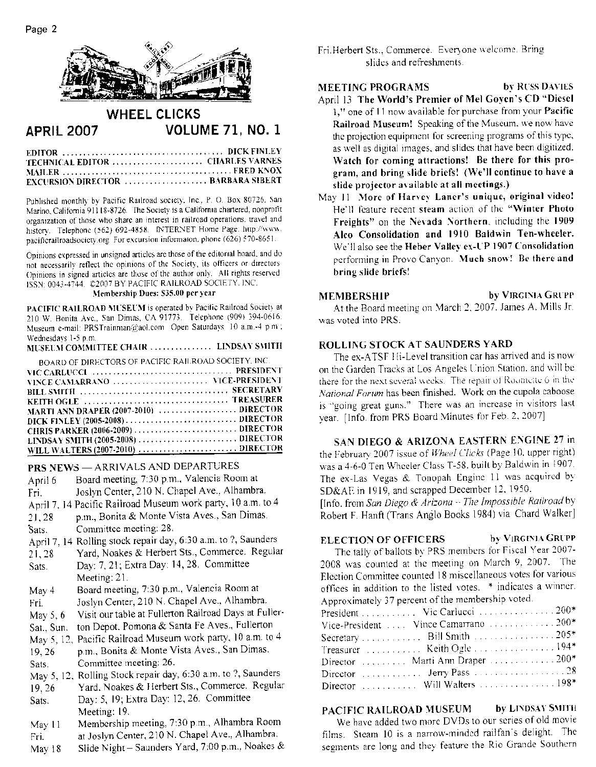

#### **WHEEL CLICKS APRIL 2007 VOLUME 71, NO. 1**

| TECHNICAL EDITOR  CHARLES VARNES         |  |  |
|------------------------------------------|--|--|
|                                          |  |  |
| <b>EXCURSION DIRECTOR</b> BARBARA SIBERT |  |  |

Published monthly by Pacific Railroad society, Inc., P. O. Box 80726. San Marino, California 91118-8726. The Society is a California chartered, nonprofit organization of those who share an interest in railroad operations, travel and history. Telephone (562) 692-4858. INTERNET Home Page: http://www. pacificrailroadsociety.org For excursion informaton, phone (626) 570-8651.

Opinions expressed in unsigned articles are those of the editorial board, and do not necessarily reflect the opinions of the Society, its officers or directors Opinions in signed articles are those of the author only. All rights reserved ISSN: 0043-4744. ©2007 BY PACIFIC RAILROAD SOCIETY. INC.

#### Membership Dues: \$35.00 per year

PACIFIC RAILROAD MUSEUM is operated by Pacific Railroad Society at 210 W. Bonita Ave., San Dimas, CA 91773. Telephone (909) 394-0616. Museum e-mail: PRSTrainman@aol.com Open Saturdays 10 a.m.-4 p.m.; Wednesdays 1-5 p.m. **CONTRACTOR** 

| MUSEUM COMMITTEE CHAIR LINDSAY SMITH                 |  |
|------------------------------------------------------|--|
| BOARD OF DIRECTORS OF PACIFIC RAILROAD SOCIETY, INC. |  |
|                                                      |  |
| VINCE CAMARRANO  VICE-PRESIDENT                      |  |
|                                                      |  |
|                                                      |  |
| MARTI ANN DRAPER (2007-2010)  DIRECTOR               |  |
|                                                      |  |
|                                                      |  |
|                                                      |  |
|                                                      |  |

#### ARRIVALS AND DEPARTURES  $\overline{a}$  .  $\overline{a}$  .  $\overline{a}$

|            | <b>PRS NEWS — ARRIVALS AND DEFANTURES</b>                      |
|------------|----------------------------------------------------------------|
| April 6    | Board meeting, 7:30 p.m., Valencia Room at                     |
| Fri.       | Joslyn Center, 210 N. Chapel Ave., Alhambra.                   |
|            | April 7, 14 Pacific Railroad Museum work party, 10 a.m. to 4   |
| 21, 28     | p.m., Bonita & Monte Vista Aves., San Dimas.                   |
| Sats.      | Committee meeting: 28.                                         |
|            | April 7, 14 Rolling stock repair day, 6:30 a.m. to ?, Saunders |
| 21, 28     | Yard, Noakes & Herbert Sts., Commerce. Regular                 |
| Sats.      | Day: 7, 21; Extra Day: 14, 28. Committee                       |
|            | Meeting: $21$ .                                                |
| May 4      | Board meeting, 7:30 p.m., Valencia Room at                     |
| Fri.       | Joslyn Center, 210 N. Chapel Ave., Alhambra.                   |
| May $5, 6$ | Visit our table at Fullerton Railroad Days at Fuller-          |
| Sat., Sun. | ton Depot. Pomona & Santa Fe Aves., Fullerton                  |
|            | May 5, 12, Pacific Railroad Museum work party, 10 a.m. to 4    |
| 19, 26     | p.m., Bonita & Monte Vista Aves., San Dimas.                   |
| Sats.      | Committee meeting: 26.                                         |
|            | May 5, 12, Rolling Stock repair day, 6:30 a.m. to ?, Saunders  |
| 19, 26     | Yard, Noakes & Herbert Sts., Commerce. Regular                 |
| Sats.      | Day: 5, 19; Extra Day: 12, 26. Committee                       |
|            | Meeting: 19.                                                   |
| May 11     | Membership meeting, 7:30 p.m., Alhambra Room                   |
| Fri.       | at Joslyn Center, 210 N. Chapel Ave., Alhambra.                |
| Mav 18     | Slide Night – Saunders Yard, 7:00 p.m., Noakes &               |

Fri, Herbert Sts., Commerce. Everyone welcome. Bring slides and refreshments.

by RUSS DAVIES **MEETING PROGRAMS** 

- April 13 The World's Premier of Mel Goyen's CD "Diesel 1," one of 11 now available for purchase from your Pacific Railroad Museum! Speaking of the Museum, we now have the projection equipment for screening programs of this type, as well as digital images, and slides that have been digitized. Watch for coming attractions! Be there for this program, and bring slide briefs! (We'll continue to have a slide projector available at all meetings.)
- May 11 More of Harvey Laner's unique, original video! He'll feature recent steam action of the "Winter Photo Freights" on the Nevada Northern, including the 1909 Alco Consolidation and 1910 Baldwin Ten-wheeler. We'll also see the Heber Valley ex-UP 1907 Consolidation performing in Provo Canyon. Much snow! Be there and bring slide briefs!

#### **MEMBERSHIP**

# by VIRGINIA GRUPP

At the Board meeting on March 2, 2007. James A. Mills Jr. was voted into PRS.

#### ROLLING STOCK AT SAUNDERS YARD

The ex-ATSF Hi-Level transition car has arrived and is now on the Garden Tracks at Los Angeles Union Station, and will be there for the next several weeks. The repair of Roomcite 6 in the National Forum has been finished. Work on the cupola caboose is "going great guns." There was an increase in visitors last vear. [Info. from PRS Board Minutes for Feb. 2, 2007]

SAN DIEGO & ARIZONA EASTERN ENGINE 27 in the February 2007 issue of Wheel Clicks (Page 10, upper right) was a 4-6-0 Ten Wheeler Class T-58, built by Baldwin in 1907. The ex-Las Vegas & Tonopah Engine 11 was acquired by SD&AE in 1919, and scrapped December 12, 1950.

[Info. from San Diego & Arizona - The Impossible Railroad by Robert F. Hanft (Trans Anglo Books 1984) via Chard Walker]

#### by VIRGINIA GRUPP **ELECTION OF OFFICERS**

The tally of ballots by PRS members for Fiscal Year 2007-2008 was counted at the meeting on March 9, 2007. The Election Committee counted 18 miscellaneous votes for various offices in addition to the listed votes. \* indicates a winner. Approximately 37 percent of the membership voted.

| President  Vic Carlucci  200*         |  |
|---------------------------------------|--|
| Vice-President  Vince Camarrano  200* |  |
| Secretary  Bill Smith  205*           |  |
| Treasurer  Keith Ogle  194*           |  |
| Director  Marti Ann Draper 200*       |  |
|                                       |  |
|                                       |  |

#### PACIFIC RAILROAD MUSEUM **by LINDSAY SMITH**

We have added two more DVDs to our series of old movie films. Steam 10 is a narrow-minded railfan's delight. The segments are long and they feature the Rio Grande Southern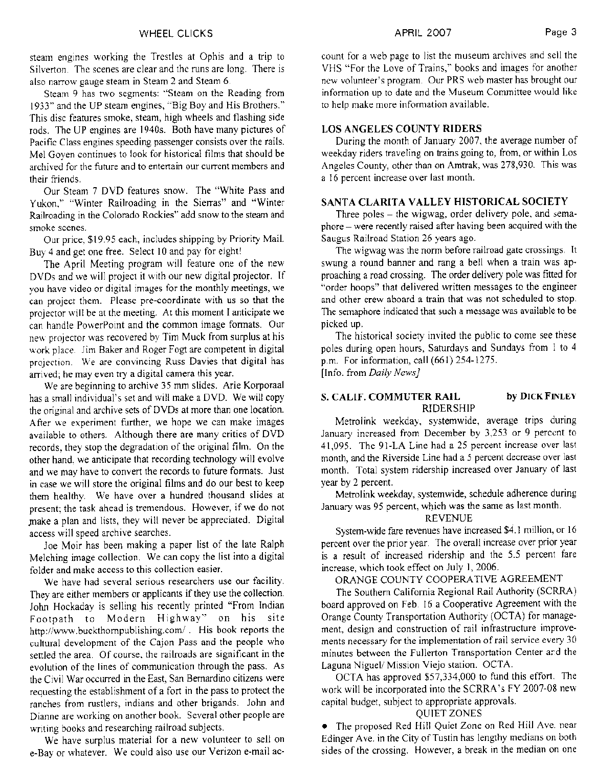steam engines working the Trestles at Ophis and a trip to Silverton. The scenes are clear and the runs are long. There is also narrow gauge steam in Steam 2 and Steam 6.

Steam 9 has two segments: "Steam on the Reading from 1933" and the UP steam engines, "Big Boy and His Brothers." This disc features smoke, steam, high wheels and flashing side rods. The UP engines are 1940s. Both have many pictures of Pacific Class engines speeding passenger consists over the rails. Mel Goven continues to look for historical films that should be archived for the future and to entertain our current members and their friends.

Our Steam 7 DVD features snow. The "White Pass and Yukon," "Winter Railroading in the Sierras" and "Winter Railroading in the Colorado Rockies" add snow to the steam and smoke scenes.

Our price, \$19.95 each, includes shipping by Priority Mail. Buy 4 and get one free. Select 10 and pay for eight!

The April Meeting program will feature one of the new DVDs and we will project it with our new digital projector. If you have video or digital images for the monthly meetings, we can project them. Please pre-coordinate with us so that the projector will be at the meeting. At this moment I anticipate we can handle PowerPoint and the common image formats. Our new projector was recovered by Tim Muck from surplus at his work place. Jim Baker and Roger Fogt are competent in digital projection. We are convincing Russ Davies that digital has arrived; he may even try a digital camera this year.

We are beginning to archive 35 mm slides. Arie Korporaal has a small individual's set and will make a DVD. We will copy the original and archive sets of DVDs at more than one location. After we experiment further, we hope we can make images available to others. Although there are many critics of DVD records, they stop the degradation of the original film. On the other hand, we anticipate that recording technology will evolve and we may have to convert the records to future formats. Just in case we will store the original films and do our best to keep them healthy. We have over a hundred thousand slides at present; the task ahead is tremendous. However, if we do not make a plan and lists, they will never be appreciated. Digital access will speed archive searches.

Joe Moir has been making a paper list of the late Ralph Melching image collection. We can copy the list into a digital folder and make access to this collection easier.

We have had several serious researchers use our facility. They are either members or applicants if they use the collection. John Hockaday is selling his recently printed "From Indian Modern Highway" on his site Footpath to http://www.buckthornpublishing.com/. His book reports the cultural development of the Cajon Pass and the people who settled the area. Of course, the railroads are significant in the evolution of the lines of communication through the pass. As the Civil War occurred in the East, San Bernardino citizens were requesting the establishment of a fort in the pass to protect the ranches from rustlers, indians and other brigands. John and Dianne are working on another book. Several other people are writing books and researching railroad subjects.

We have surplus material for a new volunteer to sell on e-Bay or whatever. We could also use our Verizon e-mail account for a web page to list the museum archives and sell the VHS "For the Love of Trains," books and images for another new volunteer's program. Our PRS web master has brought our information up to date and the Museum Committee would like to help make more information available.

## **LOS ANGELES COUNTY RIDERS**

During the month of January 2007, the average number of weekday riders traveling on trains going to, from, or within Los Angeles County, other than on Amtrak, was 278,930. This was a 16 percent increase over last month.

## SANTA CLARITA VALLEY HISTORICAL SOCIETY

Three poles – the wigwag, order delivery pole, and semaphore – were recently raised after having been acquired with the Saugus Railroad Station 26 years ago.

The wigwag was the norm before railroad gate crossings. It swung a round banner and rang a bell when a train was approaching a road crossing. The order delivery pole was fitted for "order hoops" that delivered written messages to the engineer and other crew aboard a train that was not scheduled to stop. The semaphore indicated that such a message was available to be picked up.

The historical society invited the public to come see these poles during open hours, Saturdays and Sundays from 1 to 4 p.m. For information, call (661) 254-1275.

[Info. from Daily News]

#### by DICK FINLEY S. CALIF. COMMUTER RAIL **RIDERSHIP**

Metrolink weekday, systemwide, average trips during January increased from December by 3,253 or 9 percent to 41,095. The 91-LA Line had a 25 percent increase over last month, and the Riverside Line had a 5 percent decrease over last month. Total system ridership increased over January of last year by 2 percent.

Metrolink weekday, systemwide, schedule adherence during January was 95 percent, which was the same as last month.

#### **REVENUE**

System-wide fare revenues have increased \$4.1 million, or 16 percent over the prior year. The overall increase over prior year is a result of increased ridership and the 5.5 percent fare increase, which took effect on July 1, 2006.

## ORANGE COUNTY COOPERATIVE AGREEMENT

The Southern California Regional Rail Authority (SCRRA) board approved on Feb. 16 a Cooperative Agreement with the Orange County Transportation Authority (OCTA) for management, design and construction of rail infrastructure improvements necessary for the implementation of rail service every 30 minutes between the Fullerton Transportation Center and the Laguna Niguel/ Mission Viejo station. OCTA.

OCTA has approved \$57,334,000 to fund this effort. The work will be incorporated into the SCRRA's FY 2007-08 new capital budget, subject to appropriate approvals.

## **QUIET ZONES**

• The proposed Red Hill Quiet Zone on Red Hill Ave. near Edinger Ave. in the City of Tustin has lengthy medians on both sides of the crossing. However, a break in the median on one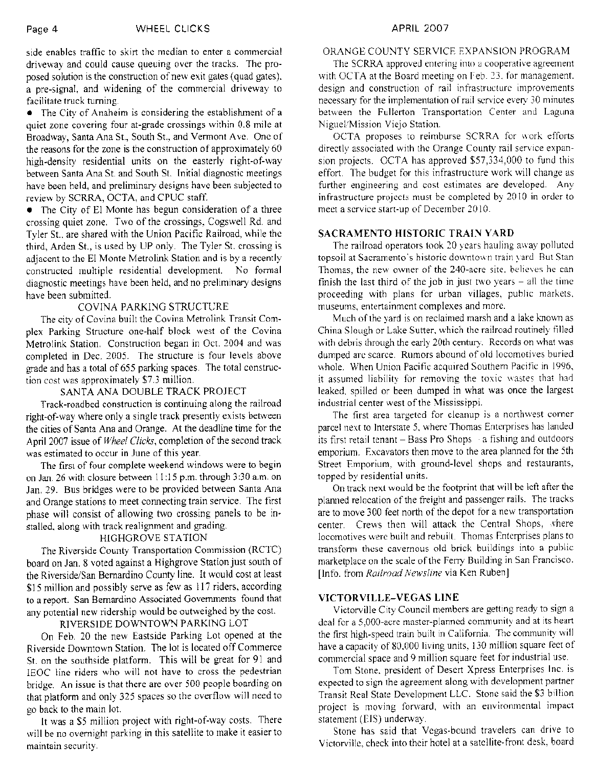side enables traffic to skirt the median to enter a commercial driveway and could cause queuing over the tracks. The proposed solution is the construction of new exit gates (quad gates). a pre-signal, and widening of the commercial driveway to facilitate truck turning.

• The City of Anaheim is considering the establishment of a quiet zone covering four at-grade crossings within 0.8 mile at Broadway, Santa Ana St., South St., and Vermont Ave. One of the reasons for the zone is the construction of approximately 60 high-density residential units on the easterly right-of-way between Santa Ana St. and South St. Initial diagnostic meetings have been held, and preliminary designs have been subjected to review by SCRRA, OCTA, and CPUC staff.

• The City of El Monte has begun consideration of a three crossing quiet zone. Two of the crossings, Cogswell Rd. and Tyler St., are shared with the Union Pacific Railroad, while the third, Arden St., is used by UP only. The Tyler St. crossing is adjacent to the El Monte Metrolink Station and is by a recently constructed multiple residential development. No formal diagnostic meetings have been held, and no preliminary designs have been submitted.

## **COVINA PARKING STRUCTURE**

The city of Covina built the Covina Metrolink Transit Complex Parking Structure one-half block west of the Covina Metrolink Station. Construction began in Oct. 2004 and was completed in Dec. 2005. The structure is four levels above grade and has a total of 655 parking spaces. The total construction cost was approximately \$7.3 million.

## SANTA ANA DOUBLE TRACK PROJECT

Track-roadbed construction is continuing along the railroad right-of-way where only a single track presently exists between the cities of Santa Ana and Orange. At the deadline time for the April 2007 issue of Wheel Clicks, completion of the second track was estimated to occur in June of this year.

The first of four complete weekend windows were to begin on Jan. 26 with closure between 11:15 p.m. through 3:30 a.m. on Jan. 29. Bus bridges were to be provided between Santa Ana and Orange stations to meet connecting train service. The first phase will consist of allowing two crossing panels to be installed, along with track realignment and grading.

## **HIGHGROVE STATION**

The Riverside County Transportation Commission (RCTC) board on Jan. 8 voted against a Highgrove Station just south of the Riverside/San Bernardino County line. It would cost at least \$15 million and possibly serve as few as 117 riders, according to a report. San Bernardino Associated Governments found that any potential new ridership would be outweighed by the cost.

# RIVERSIDE DOWNTOWN PARKING LOT

On Feb. 20 the new Eastside Parking Lot opened at the Riverside Downtown Station. The lot is located off Commerce St. on the southside platform. This will be great for 91 and IEOC line riders who will not have to cross the pedestrian bridge. An issue is that there are over 500 people boarding on that platform and only 325 spaces so the overflow will need to go back to the main lot.

It was a \$5 million project with right-of-way costs. There will be no overnight parking in this satellite to make it easier to maintain security.

# ORANGE COUNTY SERVICE EXPANSION PROGRAM

The SCRRA approved entering into a cooperative agreement with OCTA at the Board meeting on Feb. 23, for management. design and construction of rail infrastructure improvements necessary for the implementation of rail service every 30 minutes between the Fullerton Transportation Center and Laguna Niguel/Mission Viejo Station.

OCTA proposes to reimburse SCRRA for work efforts directly associated with the Orange County rail service expansion projects. OCTA has approved \$57,334,000 to fund this effort. The budget for this infrastructure work will change as further engineering and cost estimates are developed. Any infrastructure projects must be completed by 2010 in order to meet a service start-up of December 2010.

## **SACRAMENTO HISTORIC TRAIN YARD**

The railroad operators took 20 years hauling away polluted topsoil at Sacramento's historic downtown train yard But Stan Thomas, the new owner of the 240-acre site, believes he can finish the last third of the job in just two years  $-$  all the time proceeding with plans for urban villages, public markets, museums, entertainment complexes and more.

Much of the yard is on reclaimed marsh and a lake known as China Slough or Lake Sutter, which the railroad routinely filled with debris through the early 20th century. Records on what was dumped are scarce. Rumors abound of old locomotives buried whole. When Union Pacific acquired Southern Pacific in 1996, it assumed liability for removing the toxic wastes that had leaked, spilled or been dumped in what was once the largest industrial center west of the Mississippi.

The first area targeted for cleanup is a northwest corner parcel next to Interstate 5, where Thomas Enterprises has landed its first retail tenant - Bass Pro Shops a fishing and outdoors emporium. Excavators then move to the area planned for the 5th Street Emporium, with ground-level shops and restaurants, topped by residential units.

On track next would be the footprint that will be left after the planned relocation of the freight and passenger rails. The tracks are to move 300 feet north of the depot for a new transportation center. Crews then will attack the Central Shops, where locomotives were built and rebuilt. Thomas Enterprises plans to transform these cavernous old brick buildings into a public marketplace on the scale of the Ferry Building in San Francisco. [Info. from Railroad Newsline via Ken Ruben]

## VICTORVILLE-VEGAS LINE

Victorville City Council members are getting ready to sign a deal for a 5,000-acre master-planned community and at its heart the first high-speed train built in California. The community will have a capacity of 80,000 living units, 130 million square feet of commercial space and 9 million square feet for industrial use.

Tom Stone, president of Desert Xpress Enterprises Inc. is expected to sign the agreement along with development partner Transit Real State Development LLC. Stone said the \$3 billion project is moving forward, with an environmental impact statement (EIS) underway.

Stone has said that Vegas-bound travelers can drive to Victorville, check into their hotel at a satellite-front desk, board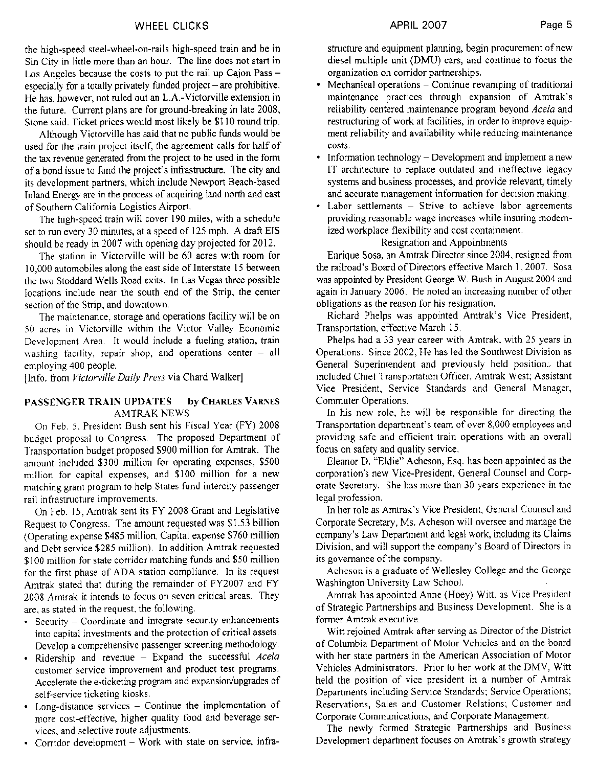the high-speed steel-wheel-on-rails high-speed train and be in Sin City in little more than an hour. The line does not start in Los Angeles because the costs to put the rail up Cajon Pass especially for a totally privately funded project  $-$  are prohibitive. He has, however, not ruled out an L.A.-Victorville extension in the future. Current plans are for ground-breaking in late 2008, Stone said. Ticket prices would most likely be \$110 round trip.

Although Victorville has said that no public funds would be used for the train project itself, the agreement calls for half of the tax revenue generated from the project to be used in the form of a bond issue to fund the project's infrastructure. The city and its development partners, which include Newport Beach-based Inland Energy are in the process of acquiring land north and east of Southern California Logistics Airport.

The high-speed train will cover 190 miles, with a schedule set to run every 30 minutes, at a speed of 125 mph. A draft EIS should be ready in 2007 with opening day projected for 2012.

The station in Victorville will be 60 acres with room for 10,000 automobiles along the east side of Interstate 15 between the two Stoddard Wells Road exits. In Las Vegas three possible locations include near the south end of the Strip, the center section of the Strip, and downtown.

The maintenance, storage and operations facility will be on 50 acres in Victorville within the Victor Valley Economic Development Area. It would include a fueling station, train washing facility, repair shop, and operations center - all employing 400 people.

[Info. from Victorville Daily Press via Chard Walker]

#### PASSENGER TRAIN UPDATES by CHARLES VARNES **AMTRAK NEWS**

On Feb. 5, President Bush sent his Fiscal Year (FY) 2008 budget proposal to Congress. The proposed Department of Transportation budget proposed \$900 million for Amtrak. The amount included \$300 million for operating expenses, \$500 million for capital expenses, and \$100 million for a new matching grant program to help States fund intercity passenger rail infrastructure improvements.

On Feb. 15, Amtrak sent its FY 2008 Grant and Legislative Request to Congress. The amount requested was \$1.53 billion (Operating expense \$485 million, Capital expense \$760 million and Debt service \$285 million). In addition Amtrak requested \$100 million for state corridor matching funds and \$50 million for the first phase of ADA station compliance. In its request Amtrak stated that during the remainder of FY2007 and FY 2008 Amtrak it intends to focus on seven critical areas. They are, as stated in the request, the following.

- Security Coordinate and integrate security enhancements into capital investments and the protection of critical assets. Develop a comprehensive passenger screening methodology.
- · Ridership and revenue Expand the successful Acela customer service improvement and product test programs. Accelerate the e-ticketing program and expansion/upgrades of self-service ticketing kiosks.
- · Long-distance services Continue the implementation of more cost-effective, higher quality food and beverage services, and selective route adjustments.
- Corridor development Work with state on service, infra-

structure and equipment planning, begin procurement of new diesel multiple unit (DMU) cars, and continue to focus the organization on corridor partnerships.

- Mechanical operations Continue revamping of traditional maintenance practices through expansion of Amtrak's reliability centered maintenance program beyond Acela and restructuring of work at facilities, in order to improve equipment reliability and availability while reducing maintenance costs.
- Information technology Development and implement a new IT architecture to replace outdated and ineffective legacy systems and business processes, and provide relevant, timely and accurate management information for decision making.
- Labor settlements Strive to achieve labor agreements providing reasonable wage increases while insuring modernized workplace flexibility and cost containment.

# Resignation and Appointments

Enrique Sosa, an Amtrak Director since 2004, resigned from the railroad's Board of Directors effective March 1, 2007. Sosa was appointed by President George W. Bush in August 2004 and again in January 2006. He noted an increasing number of other obligations as the reason for his resignation.

Richard Phelps was appointed Amtrak's Vice President, Transportation, effective March 15.

Phelps had a 33 year career with Amtrak, with 25 years in Operations. Since 2002, He has led the Southwest Division as General Superintendent and previously held position, that included Chief Transportation Officer, Amtrak West; Assistant Vice President, Service Standards and General Manager, Commuter Operations.

In his new role, he will be responsible for directing the Transportation department's team of over 8,000 employees and providing safe and efficient train operations with an overall focus on safety and quality service.

Eleanor D. "Eldie" Acheson, Esq. has been appointed as the corporation's new Vice-President, General Counsel and Corporate Secretary. She has more than 30 years experience in the legal profession.

In her role as Amtrak's Vice President, General Counsel and Corporate Secretary, Ms. Acheson will oversee and manage the company's Law Department and legal work, including its Claims Division, and will support the company's Board of Directors in its governance of the company.

Acheson is a graduate of Wellesley College and the George Washington University Law School.

Amtrak has appointed Anne (Hoey) Witt, as Vice President of Strategic Partnerships and Business Development. She is a former Amtrak executive.

Witt reioined Amtrak after serving as Director of the District of Columbia Department of Motor Vehicles and on the board with her state partners in the American Association of Motor Vehicles Administrators. Prior to her work at the DMV, Witt held the position of vice president in a number of Amtrak Departments including Service Standards; Service Operations; Reservations, Sales and Customer Relations; Customer and Corporate Communications; and Corporate Management.

The newly formed Strategic Partnerships and Business Development department focuses on Amtrak's growth strategy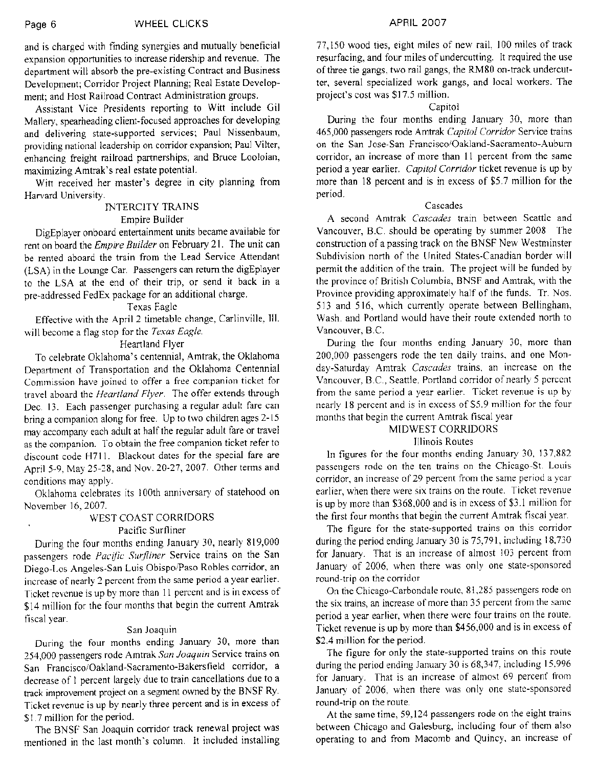and is charged with finding synergies and mutually beneficial expansion opportunities to increase ridership and revenue. The department will absorb the pre-existing Contract and Business Development: Corridor Project Planning; Real Estate Development: and Host Railroad Contract Administration groups.

Assistant Vice Presidents reporting to Witt include Gil Mallery, spearheading client-focused approaches for developing and delivering state-supported services; Paul Nissenbaum, providing national leadership on corridor expansion; Paul Vilter, enhancing freight railroad partnerships; and Bruce Looloian, maximizing Amtrak's real estate potential.

Witt received her master's degree in city planning from Harvard University.

## **INTERCITY TRAINS** Empire Builder

DigEplayer onboard entertainment units became available for rent on board the *Empire Builder* on February 21. The unit can be rented aboard the train from the Lead Service Attendant (LSA) in the Lounge Car. Passengers can return the digEplayer to the LSA at the end of their trip, or send it back in a pre-addressed FedEx package for an additional charge.

#### **Texas Eagle**

Effective with the April 2 timetable change, Carlinville, Ill. will become a flag stop for the Texas Eagle.

## Heartland Flyer

To celebrate Oklahoma's centennial, Amtrak, the Oklahoma Department of Transportation and the Oklahoma Centennial Commission have joined to offer a free companion ticket for travel aboard the Heartland Flyer. The offer extends through Dec. 13. Each passenger purchasing a regular adult fare can bring a companion along for free. Up to two children ages 2-15 may accompany each adult at half the regular adult fare or travel as the companion. To obtain the free companion ticket refer to discount code H711. Blackout dates for the special fare are April 5-9, May 25-28, and Nov. 20-27, 2007. Other terms and conditions may apply.

Oklahoma celebrates its 100th anniversary of statehood on November 16, 2007.

## WEST COAST CORRIDORS Pacific Surfliner

During the four months ending January 30, nearly 819,000 passengers rode Pacific Surfliner Service trains on the San Diego-Los Angeles-San Luis Obispo/Paso Robles corridor, an increase of nearly 2 percent from the same period a year earlier. Ticket revenue is up by more than 11 percent and is in excess of \$14 million for the four months that begin the current Amtrak fiscal year.

## San Joaquin

During the four months ending January 30, more than 254,000 passengers rode Amtrak San Joaquin Service trains on San Francisco/Oakland-Sacramento-Bakersfield corridor, a decrease of 1 percent largely due to train cancellations due to a track improvement project on a segment owned by the BNSF Ry. Ticket revenue is up by nearly three percent and is in excess of \$1.7 million for the period.

The BNSF San Joaquin corridor track renewal project was mentioned in the last month's column. It included installing

77,150 wood ties, eight miles of new rail, 100 miles of track resurfacing, and four miles of undercutting. It required the use of three tie gangs, two rail gangs, the RM80 on-track undercutter, several specialized work gangs, and local workers. The project's cost was \$17.5 million.

## Capitol

During the four months ending January 30, more than 465,000 passengers rode Amtrak Capitol Corridor Service trains on the San Jose-San Francisco/Oakland-Sacramento-Auburn corridor, an increase of more than 11 percent from the same period a year earlier. Capitol Corridor ticket revenue is up by more than 18 percent and is in excess of \$5.7 million for the period.

#### Cascades

A second Amtrak Cascades train between Seattle and Vancouver, B.C. should be operating by summer 2008 The construction of a passing track on the BNSF New Westminster Subdivision north of the United States-Canadian border will permit the addition of the train. The project will be funded by the province of British Columbia, BNSF and Amtrak, with the Province providing approximately half of the funds. Tr. Nos. 513 and 516, which currently operate between Bellingham, Wash, and Portland would have their route extended north to Vancouver, B.C.

During the four months ending January 30, more than 200,000 passengers rode the ten daily trains, and one Monday-Saturday Amtrak Cascades trains, an increase on the Vancouver, B.C., Seattle, Portland corridor of nearly 5 percent from the same period a year earlier. Ticket revenue is up by nearly 18 percent and is in excess of \$5.9 million for the four months that begin the current Amtrak fiscal year

## MIDWEST CORRIDORS

# **Illinois Routes**

In figures for the four months ending January 30, 137,882 passengers rode on the ten trains on the Chicago-St. Louis corridor, an increase of 29 percent from the same period a year earlier, when there were six trains on the route. Ticket revenue is up by more than \$368,000 and is in excess of \$3.1 million for the first four months that begin the current Amtrak fiscal year.

The figure for the state-supported trains on this corridor during the period ending January 30 is 75,791, including 18,730 for January. That is an increase of almost 103 percent from January of 2006, when there was only one state-sponsored round-trip on the corridor

On the Chicago-Carbondale route, 81,285 passengers rode on the six trains, an increase of more than 35 percent from the same period a year earlier, when there were four trains on the route. Ticket revenue is up by more than \$456,000 and is in excess of \$2.4 million for the period.

The figure for only the state-supported trains on this route during the period ending January 30 is 68,347, including 15,996 for January. That is an increase of almost 69 percent from January of 2006, when there was only one state-sponsored round-trip on the route.

At the same time, 59,124 passengers rode on the eight trains between Chicago and Galesburg, including four of them also operating to and from Macomb and Quincy, an increase of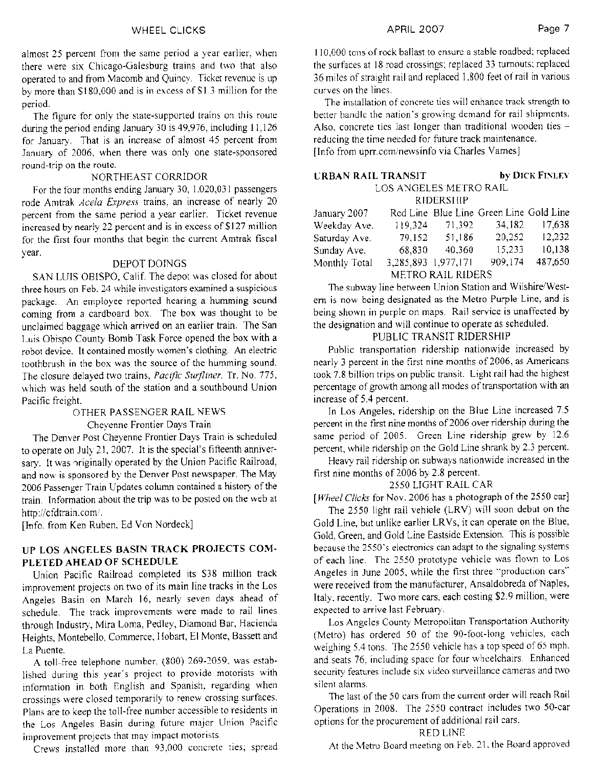almost 25 percent from the same period a year earlier, when there were six Chicago-Galesburg trains and two that also operated to and from Macomb and Quincy. Ticket revenue is up by more than \$180,000 and is in excess of \$1.3 million for the period.

The figure for only the state-supported trains on this route during the period ending January 30 is 49,976, including 11,126 for January. That is an increase of almost 45 percent from January of 2006, when there was only one state-sponsored round-trip on the route.

## NORTHEAST CORRIDOR

For the four months ending January 30, 1,020,031 passengers rode Amtrak Acela Express trains, an increase of nearly 20 percent from the same period a year earlier. Ticket revenue increased by nearly 22 percent and is in excess of \$127 million for the first four months that begin the current Amtrak fiscal vear.

## DEPOT DOINGS

SAN LUIS OBISPO, Calif. The depot was closed for about three hours on Feb. 24 while investigators examined a suspicious package. An employee reported hearing a humming sound coming from a cardboard box. The box was thought to be unclaimed baggage which arrived on an earlier train. The San Luis Obispo County Bomb Task Force opened the box with a robot device. It contained mostly women's clothing. An electric toothbrush in the box was the source of the humming sound. The closure delayed two trains, Pacific Surfliner. Tr. No. 775, which was held south of the station and a southbound Union Pacific freight.

## OTHER PASSENGER RAIL NEWS

Chevenne Frontier Days Train

The Denver Post Cheyenne Frontier Days Train is scheduled to operate on July 21, 2007. It is the special's fifteenth anniversary. It was originally operated by the Union Pacific Railroad, and now is sponsored by the Denver Post newspaper. The May 2006 Passenger Train Updates column contained a history of the train. Information about the trip was to be posted on the web at http://cfdtrain.com/.

[Info. from Ken Ruben, Ed Von Nordeck]

## UP LOS ANGELES BASIN TRACK PROJECTS COM-PLETED AHEAD OF SCHEDULE

Union Pacific Railroad completed its \$38 million track improvement projects on two of its main line tracks in the Los Angeles Basin on March 16, nearly seven days ahead of schedule. The track improvements were made to rail lines through Industry, Mira Loma, Pedley, Diamond Bar, Hacienda Heights, Montebello, Commerce, Hobart, El Monte, Bassett and La Puente.

A toll-free telephone number, (800) 269-2059, was established during this year's project to provide motorists with information in both English and Spanish, regarding when crossings were closed temporarily to renew crossing surfaces. Plans are to keep the toll-free number accessible to residents in the Los Angeles Basin during future major Union Pacific improvement projects that may impact motorists.

Crews installed more than 93,000 concrete ties; spread

110,000 tons of rock ballast to ensure a stable roadbed; replaced the surfaces at 18 road crossings; replaced 33 turnouts; replaced 36 miles of straight rail and replaced 1,800 feet of rail in various curves on the lines.

The installation of concrete ties will enhance track strength to better handle the nation's growing demand for rail shipments. Also, concrete tics last longer than traditional wooden ties reducing the time needed for future track maintenance. [Info from uprr.com/newsinfo via Charles Varnes]

| <b>URBAN RAIL TRANSIT</b> | <b>by DICK FINLEY</b> |
|---------------------------|-----------------------|
| LOS ANGELES METRO RAIL    |                       |
| <b>RIDERSHIP</b>          |                       |

| January 2007             |                     |        | Red Line Blue Line Green Line Gold Line |         |  |
|--------------------------|---------------------|--------|-----------------------------------------|---------|--|
| Weekday Ave.             | 119,324             | 71.392 | 34,182                                  | 17,638  |  |
| Saturday Ave.            | 79.152              | 51,186 | 20,252                                  | 12,232  |  |
| Sunday Ave.              | 68.830              | 40,360 | 15,233                                  | 10,138  |  |
| Monthly Total            | 3,285,893 1,977,171 |        | 909.174                                 | 487,650 |  |
| <b>METRO RAIL RIDERS</b> |                     |        |                                         |         |  |

The subway line between Union Station and Wilshire/Western is now being designated as the Metro Purple Line, and is being shown in purple on maps. Rail service is unaffected by the designation and will continue to operate as scheduled.

# PUBLIC TRANSIT RIDERSHIP

Public transportation ridership nationwide increased by nearly 3 percent in the first nine months of 2006, as Americans took 7.8 billion trips on public transit. Light rail had the highest percentage of growth among all modes of transportation with an increase of 5.4 percent.

In Los Angeles, ridership on the Blue Line increased 7.5 percent in the first nine months of 2006 over ridership during the same period of 2005. Green Line ridership grew by 12.6 percent, while ridership on the Gold Line shrank by 2.3 percent.

Heavy rail ridership on subways nationwide increased in the first nine months of 2006 by 2.8 percent.

# 2550 LIGHT RAIL CAR

[Wheel Clicks for Nov. 2006 has a photograph of the 2550 car]

The 2550 light rail vehicle (LRV) will soon debut on the Gold Line, but unlike earlier LRVs, it can operate on the Blue, Gold, Green, and Gold Line Eastside Extension. This is possible because the 2550's electronics can adapt to the signaling systems of each line. The 2550 prototype vehicle was flown to Los Angeles in June 2005, while the first three "production cars" were received from the manufacturer, Ansaldobreda of Naples, Italy, recently. Two more cars, each costing \$2.9 million, were expected to arrive last February.

Los Angeles County Metropolitan Transportation Authority (Metro) has ordered 50 of the 90-foot-long vehicles, each weighing 5.4 tons. The 2550 vehicle has a top speed of 65 mph. and seats 76, including space for four wheelchairs. Enhanced security features include six video surveillance cameras and two silent alarms.

The last of the 50 cars from the current order will reach Rail Operations in 2008. The 2550 contract includes two 50-car options for the procurement of additional rail cars.

# **RED LINE**

At the Metro Board meeting on Feb. 21, the Board approved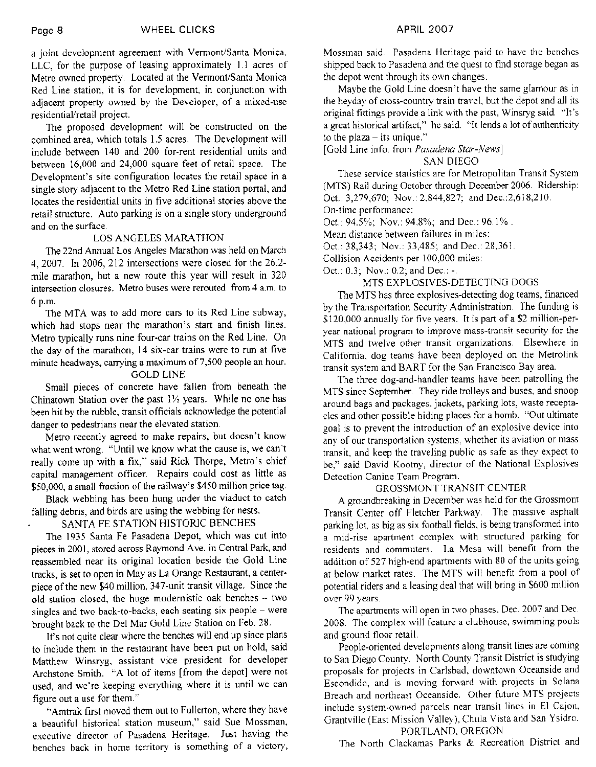a joint development agreement with Vermont/Santa Monica, LLC, for the purpose of leasing approximately 1.1 acres of Metro owned property. Located at the Vermont/Santa Monica Red Line station, it is for development, in conjunction with adjacent property owned by the Developer, of a mixed-use residential/retail project.

The proposed development will be constructed on the combined area, which totals 1.5 acres. The Development will include between 140 and 200 for-rent residential units and between 16,000 and 24,000 square feet of retail space. The Development's site configuration locates the retail space in a single story adjacent to the Metro Red Line station portal, and locates the residential units in five additional stories above the retail structure. Auto parking is on a single story underground and on the surface.

## LOS ANGELES MARATHON

The 22nd Annual Los Angeles Marathon was held on March 4, 2007. In 2006, 212 intersections were closed for the 26.2mile marathon, but a new route this year will result in 320 intersection closures. Metro buses were rerouted from 4 a.m. to 6 p.m.

The MTA was to add more cars to its Red Line subway, which had stops near the marathon's start and finish lines. Metro typically runs nine four-car trains on the Red Line. On the day of the marathon, 14 six-car trains were to run at five minute headways, carrying a maximum of 7,500 people an hour.

## **GOLD LINE**

Small pieces of concrete have fallen from beneath the Chinatown Station over the past  $1\frac{1}{2}$  years. While no one has been hit by the rubble, transit officials acknowledge the potential danger to pedestrians near the elevated station.

Metro recently agreed to make repairs, but doesn't know what went wrong. "Until we know what the cause is, we can't really come up with a fix," said Rick Thorpe, Metro's chief capital management officer. Repairs could cost as little as \$50,000, a small fraction of the railway's \$450 million price tag.

Black webbing has been hung under the viaduct to catch falling debris, and birds are using the webbing for nests.

## SANTA FE STATION HISTORIC BENCHES

The 1935 Santa Fe Pasadena Depot, which was cut into pieces in 2001, stored across Raymond Ave. in Central Park, and reassembled near its original location beside the Gold Line tracks, is set to open in May as La Orange Restaurant, a centerpiece of the new \$40 million, 347-unit transit village. Since the old station closed, the huge modernistic oak benches - two singles and two back-to-backs, each seating six people - were brought back to the Del Mar Gold Line Station on Feb. 28.

It's not quite clear where the benches will end up since plans to include them in the restaurant have been put on hold, said Matthew Winsryg, assistant vice president for developer Archstone Smith. "A lot of items [from the depot] were not used, and we're keeping everything where it is until we can figure out a use for them."

"Amtrak first moved them out to Fullerton, where they have a beautiful historical station museum," said Sue Mossman, executive director of Pasadena Heritage. Just having the benches back in home territory is something of a victory,

Mossman said. Pasadena Heritage paid to have the benches shipped back to Pasadena and the quest to find storage began as the depot went through its own changes.

Maybe the Gold Line doesn't have the same glamour as in the heyday of cross-country train travel, but the depot and all its original fittings provide a link with the past, Winsryg said. "It's a great historical artifact," he said. "It lends a lot of authenticity to the plaza  $-$  its unique."

[Gold Line info. from Pasadena Star-News]

#### **SAN DIEGO**

These service statistics are for Metropolitan Transit System (MTS) Rail during October through December 2006. Ridership: Oct.: 3,279,670; Nov.: 2,844,827; and Dec.: 2,618,210. On-time performance:

Oct.: 94.5%; Nov.: 94.8%; and Dec.: 96.1%.

Mean distance between failures in miles:

Oct.: 38,343; Nov.: 33,485; and Dec.: 28,361.

Collision Accidents per 100,000 miles:

Oct.: 0.3; Nov.: 0.2; and Dec.: -.

## MTS EXPLOSIVES-DETECTING DOGS

The MTS has three explosives-detecting dog teams, financed by the Transportation Security Administration. The funding is \$120,000 annually for five years. It is part of a \$2 million-peryear national program to improve mass-transit security for the MTS and twelve other transit organizations. Elsewhere in California, dog teams have been deployed on the Metrolink transit system and BART for the San Francisco Bay area.

The three dog-and-handler teams have been patrolling the MTS since September. They ride trolleys and buses, and snoop around bags and packages, jackets, parking lots, waste receptacles and other possible hiding places for a bomb. "Out ultimate goal is to prevent the introduction of an explosive device into any of our transportation systems, whether its aviation or mass transit, and keep the traveling public as safe as they expect to be," said David Kootny, director of the National Explosives Detection Canine Team Program.

#### **GROSSMONT TRANSIT CENTER**

A groundbreaking in December was held for the Grossmont Transit Center off Fletcher Parkway. The massive asphalt parking lot, as big as six football fields, is being transformed into a mid-rise apartment complex with structured parking for residents and commuters. La Mesa will benefit from the addition of 527 high-end apartments with 80 of the units going at below market rates. The MTS will benefit from a pool of potential riders and a leasing deal that will bring in \$600 million over 99 years.

The apartments will open in two phases, Dec. 2007 and Dec. 2008. The complex will feature a clubhouse, swimming pools and ground floor retail.

People-oriented developments along transit lines are coming to San Diego County. North County Transit District is studying proposals for projects in Carlsbad, downtown Oceanside and Escondido, and is moving forward with projects in Solana Breach and northeast Oceanside. Other future MTS projects include system-owned parcels near transit lines in El Cajon, Grantville (East Mission Valley), Chula Vista and San Ysidro. PORTLAND, OREGON

The North Clackamas Parks & Recreation District and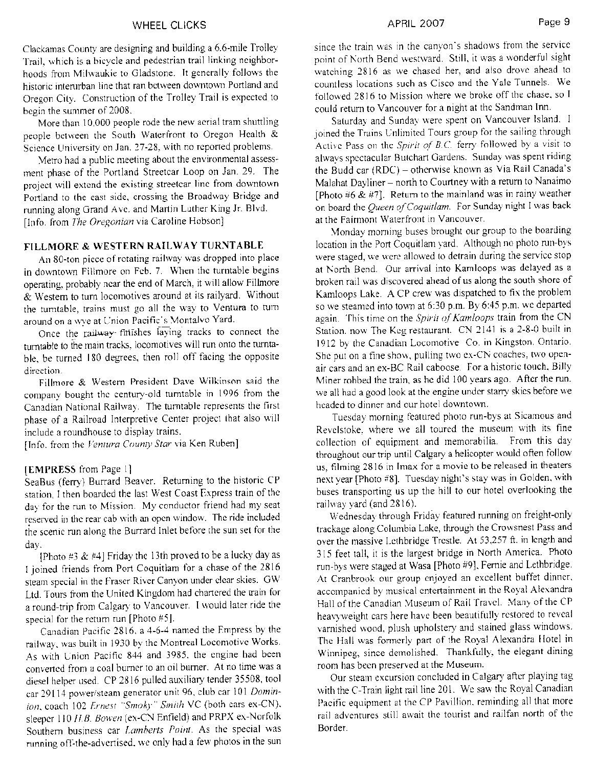#### **WHEEL CLICKS**

Clackamas County are designing and building a 6.6-mile Trolley Trail, which is a bicycle and pedestrian trail linking neighborhoods from Milwaukie to Gladstone. It generally follows the historic interurban line that ran between downtown Portland and Oregon City. Construction of the Trolley Trail is expected to begin the summer of 2008.

More than 10,000 people rode the new aerial tram shuttling people between the South Waterfront to Oregon Health & Science University on Jan. 27-28, with no reported problems.

Metro had a public meeting about the environmental assessment phase of the Portland Streetcar Loop on Jan. 29. The project will extend the existing streetcar line from downtown Portland to the east side, crossing the Broadway Bridge and running along Grand Ave. and Martin Luther King Jr. Blvd. [Info. from The Oregonian via Caroline Hobson]

## FILLMORE & WESTERN RAILWAY TURNTABLE

An 80-ton piece of rotating railway was dropped into place in downtown Fillmore on Feb. 7. When the turntable begins operating, probably near the end of March, it will allow Fillmore & Western to turn locomotives around at its railyard. Without the turntable, trains must go all the way to Ventura to turn around on a wye at Union Pacific's Montalvo Yard.

Once the railway-finishes laying tracks to connect the turntable to the main tracks, locomotives will run onto the turntable, be turned 180 degrees, then roll off facing the opposite direction.

Fillmore & Western President Dave Wilkinson said the company bought the century-old turntable in 1996 from the Canadian National Railway. The turntable represents the first phase of a Railroad Interpretive Center project that also will include a roundhouse to display trains.

[Info. from the Ventura County Star via Ken Ruben]

#### [EMPRESS from Page 1]

SeaBus (ferry) Burrard Beaver. Returning to the historic CP station, I then boarded the last West Coast Express train of the day for the run to Mission. My conductor friend had my seat reserved in the rear cab with an open window. The ride included the scenic run along the Burrard Inlet before the sun set for the day.

[Photo #3 & #4] Friday the 13th proved to be a lucky day as I joined friends from Port Coquitlam for a chase of the 2816 steam special in the Fraser River Canyon under clear skies. GW Ltd. Tours from the United Kingdom had chartered the train for a round-trip from Calgary to Vancouver. I would later ride the special for the return run [Photo #5].

Canadian Pacific 2816, a 4-6-4 named the Empress by the railway, was built in 1930 by the Montreal Locomotive Works. As with Union Pacific 844 and 3985, the engine had been converted from a coal burner to an oil burner. At no time was a diesel helper used. CP 2816 pulled auxiliary tender 35508, tool car 29114 power/steam generator unit 96, club car 101 Dominion, coach 102 Ernest "Smoky" Smith VC (both cars ex-CN), sleeper 110 H.B. Bowen (ex-CN Enfield) and PRPX ex-Norfolk Southern business car Lamberts Point. As the special was running off-the-advertised, we only had a few photos in the sun

#### APRIL 2007

since the train was in the canyon's shadows from the service point of North Bend westward. Still, it was a wonderful sight watching 2816 as we chased her, and also drove ahead to countless locations such as Cisco and the Yale Tunnels. We followed 2816 to Mission where we broke off the chase, so I could return to Vancouver for a night at the Sandman Inn.

Saturday and Sunday were spent on Vancouver Island. I joined the Trains Unlimited Tours group for the sailing through Active Pass on the Spirit of B.C. ferry followed by a visit to always spectacular Butchart Gardens. Sunday was spent riding the Budd car (RDC) - otherwise known as Via Rail Canada's Malahat Dayliner - north to Courtney with a return to Nanaimo [Photo #6 & #7]. Return to the mainland was in rainy weather on board the Queen of Coquitlam. For Sunday night I was back at the Fairmont Waterfront in Vancouver.

Monday morning buses brought our group to the boarding location in the Port Coquitlam yard. Although no photo run-bys were staged, we were allowed to detrain during the service stop at North Bend. Our arrival into Kamloops was delayed as a broken rail was discovered ahead of us along the south shore of Kamloops Lake. A CP crew was dispatched to fix the problem so we steamed into town at 6:30 p.m. By 6:45 p.m. we departed again. This time on the Spirit of Kamloops train from the CN Station, now The Keg restaurant. CN 2141 is a 2-8-0 built in 1912 by the Canadian Locomotive Co. in Kingston, Ontario. She put on a fine show, pulling two ex-CN coaches, two openair cars and an ex-BC Rail caboose. For a historic touch, Billy Miner robbed the train, as he did 100 years ago. After the run. we all had a good look at the engine under starry skies before we headed to dinner and our hotel downtown.

Tuesday morning featured photo run-bys at Sicamous and Revelstoke, where we all toured the museum with its fine collection of equipment and memorabilia. From this day throughout our trip until Calgary a helicopter would often follow us, filming 2816 in Imax for a movie to be released in theaters next year [Photo #8]. Tuesday night's stay was in Golden, with buses transporting us up the hill to our hotel overlooking the railway yard (and 2816).

Wednesday through Friday featured running on freight-only trackage along Columbia Lake, through the Crowsnest Pass and over the massive Lethbridge Trestle. At 53,257 ft. in length and 315 feet tall, it is the largest bridge in North America. Photo run-bys were staged at Wasa [Photo #9], Fernie and Lethbridge. At Cranbrook our group enjoyed an excellent buffet dinner, accompanied by musical entertainment in the Royal Alexandra Hall of the Canadian Museum of Rail Travel. Many of the CP heavyweight cars here have been beautifully restored to reveal varnished wood, plush upholstery and stained glass windows. The Hall was formerly part of the Royal Alexandra Hotel in Winnipeg, since demolished. Thankfully, the elegant dining room has been preserved at the Museum.

Our steam excursion concluded in Calgary after playing tag with the C-Train light rail line 201. We saw the Royal Canadian Pacific equipment at the CP Pavillion, reminding all that more rail adventures still await the tourist and railfan north of the Border.